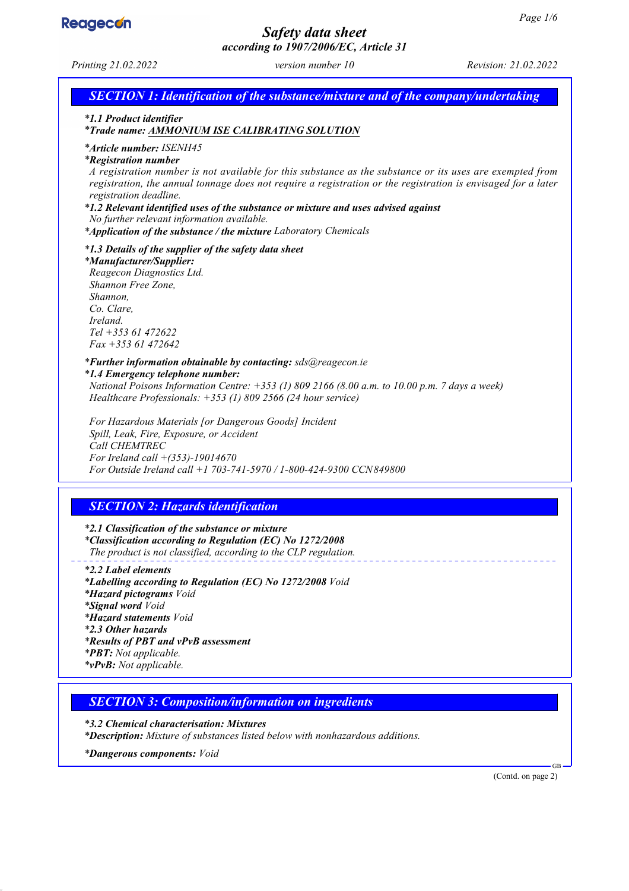

# *Safety data sheet according to 1907/2006/EC, Article 31*

*Printing 21.02.2022 version number 10 Revision: 21.02.2022 SECTION 1: Identification of the substance/mixture and of the company/undertaking \* 1.1 Product identifier \* Trade name: AMMONIUM ISE CALIBRATING SOLUTION \* Article number: ISENH45 \* Registration number A registration number is not available for this substance as the substance or its uses are exempted from registration, the annual tonnage does not require a registration or the registration is envisaged for a later registration deadline. \* 1.2 Relevant identified uses of the substance or mixture and uses advised against No further relevant information available. \* Application of the substance / the mixture Laboratory Chemicals \* 1.3 Details of the supplier of the safety data sheet \* Manufacturer/Supplier: Reagecon Diagnostics Ltd. Shannon Free Zone, Shannon, Co. Clare, Ireland. Tel +353 61 472622 Fax +353 61 472642*

#### *\* Further information obtainable by contacting: sds@reagecon.ie*

*\* 1.4 Emergency telephone number: National Poisons Information Centre: +353 (1) 809 2166 (8.00 a.m. to 10.00 p.m. 7 days a week) Healthcare Professionals: +353 (1) 809 2566 (24 hour service)*

*For Hazardous Materials [or Dangerous Goods] Incident Spill, Leak, Fire, Exposure, or Accident Call CHEMTREC For Ireland call +(353)-19014670 For Outside Ireland call +1 703-741-5970 / 1-800-424-9300 CCN849800*

## *SECTION 2: Hazards identification*

*\* 2.1 Classification of the substance or mixture \* Classification according to Regulation (EC) No 1272/2008 The product is not classified, according to the CLP regulation.*

*\* 2.2 Label elements \* Labelling according to Regulation (EC) No 1272/2008 Void \* Hazard pictograms Void \* Signal word Void \* Hazard statements Void \* 2.3 Other hazards \* Results of PBT and vPvB assessment \* PBT: Not applicable. \* vPvB: Not applicable.*

### *SECTION 3: Composition/information on ingredients*

*\* 3.2 Chemical characterisation: Mixtures*

*\* Description: Mixture of substances listed below with nonhazardous additions.*

*\* Dangerous components: Void*

(Contd. on page 2)

GB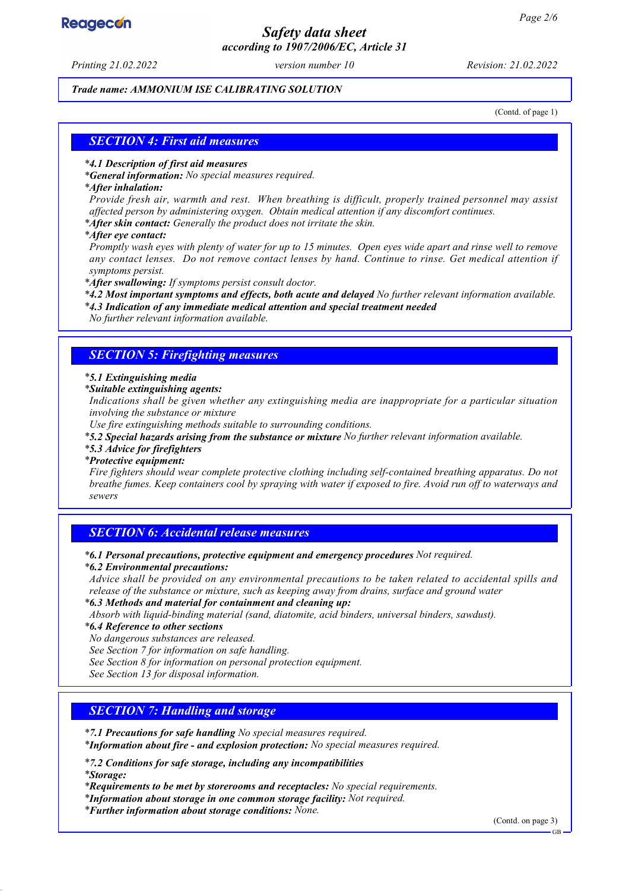# **Reagecon**

# *Safety data sheet according to 1907/2006/EC, Article 31*

*Printing 21.02.2022 version number 10 Revision: 21.02.2022*

#### *Trade name: AMMONIUM ISE CALIBRATING SOLUTION*

(Contd. of page 1)

### *SECTION 4: First aid measures*

#### *\* 4.1 Description of first aid measures*

*\* General information: No special measures required.*

#### *\* After inhalation:*

*Provide fresh air, warmth and rest. When breathing is difficult, properly trained personnel may assist affected person by administering oxygen. Obtain medical attention if any discomfort continues.*

*\* After skin contact: Generally the product does not irritate the skin.*

*\* After eye contact:*

*Promptly wash eyes with plenty of water for up to 15 minutes. Open eyes wide apart and rinse well to remove any contact lenses. Do not remove contact lenses by hand. Continue to rinse. Get medical attention if symptoms persist.*

*\* After swallowing: If symptoms persist consult doctor.*

*\* 4.2 Most important symptoms and effects, both acute and delayed No further relevant information available.*

*\* 4.3 Indication of any immediate medical attention and special treatment needed*

*No further relevant information available.*

### *SECTION 5: Firefighting measures*

#### *\* 5.1 Extinguishing media*

*\* Suitable extinguishing agents:*

*Indications shall be given whether any extinguishing media are inappropriate for a particular situation involving the substance or mixture*

*Use fire extinguishing methods suitable to surrounding conditions.*

*\* 5.2 Special hazards arising from the substance or mixture No further relevant information available.*

#### *\* 5.3 Advice for firefighters*

#### *\* Protective equipment:*

*Fire fighters should wear complete protective clothing including self-contained breathing apparatus. Do not breathe fumes. Keep containers cool by spraying with water if exposed to fire. Avoid run off to waterways and sewers*

## *SECTION 6: Accidental release measures*

*\* 6.1 Personal precautions, protective equipment and emergency procedures Not required.*

#### *\* 6.2 Environmental precautions:*

*Advice shall be provided on any environmental precautions to be taken related to accidental spills and release of the substance or mixture, such as keeping away from drains, surface and ground water*

*\* 6.3 Methods and material for containment and cleaning up:*

*Absorb with liquid-binding material (sand, diatomite, acid binders, universal binders, sawdust).*

#### *\* 6.4 Reference to other sections*

*No dangerous substances are released.*

*See Section 7 for information on safe handling.*

*See Section 8 for information on personal protection equipment.*

*See Section 13 for disposal information.*

## *SECTION 7: Handling and storage*

*\* 7.1 Precautions for safe handling No special measures required.*

*\* Information about fire - and explosion protection: No special measures required.*

*\* 7.2 Conditions for safe storage, including any incompatibilities \* Storage:*

*\* Requirements to be met by storerooms and receptacles: No special requirements.*

*\* Information about storage in one common storage facility: Not required.*

*\* Further information about storage conditions: None.*

(Contd. on page 3)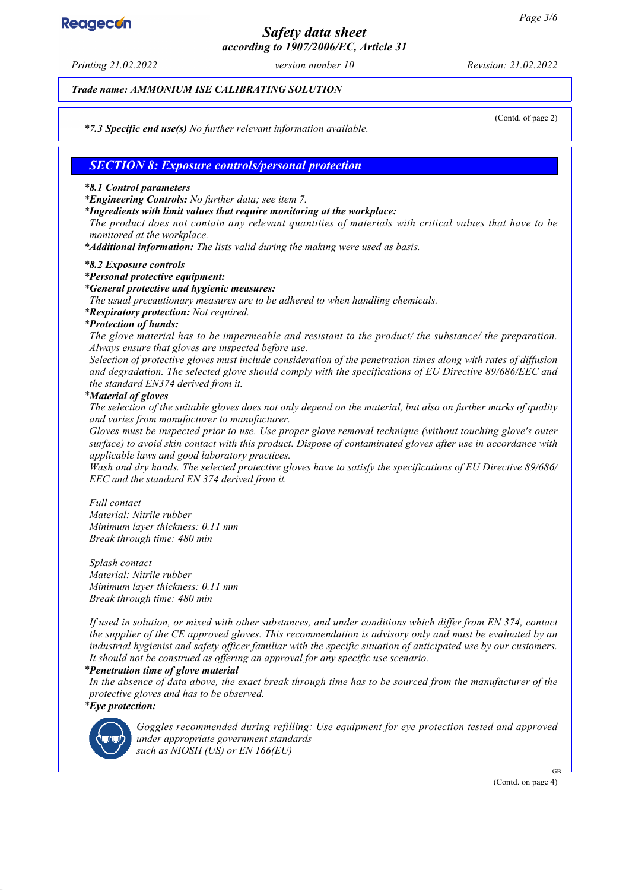# **Reagecon**

# *Safety data sheet according to 1907/2006/EC, Article 31*

*Printing 21.02.2022 version number 10 Revision: 21.02.2022*

*Trade name: AMMONIUM ISE CALIBRATING SOLUTION*

(Contd. of page 2)

*\* 7.3 Specific end use(s) No further relevant information available.*

## *SECTION 8: Exposure controls/personal protection*

#### *\* 8.1 Control parameters*

*\* Engineering Controls: No further data; see item 7.*

*\* Ingredients with limit values that require monitoring at the workplace:*

*The product does not contain any relevant quantities of materials with critical values that have to be monitored at the workplace.*

*\* Additional information: The lists valid during the making were used as basis.*

#### *\* 8.2 Exposure controls*

#### *\* Personal protective equipment:*

#### *\* General protective and hygienic measures:*

*The usual precautionary measures are to be adhered to when handling chemicals.*

*\* Respiratory protection: Not required.*

#### *\* Protection of hands:*

*The glove material has to be impermeable and resistant to the product/ the substance/ the preparation. Always ensure that gloves are inspected before use.*

*Selection of protective gloves must include consideration of the penetration times along with rates of diffusion and degradation. The selected glove should comply with the specifications of EU Directive 89/686/EEC and the standard EN374 derived from it.*

#### *\* Material of gloves*

*The selection of the suitable gloves does not only depend on the material, but also on further marks of quality and varies from manufacturer to manufacturer.*

*Gloves must be inspected prior to use. Use proper glove removal technique (without touching glove's outer surface) to avoid skin contact with this product. Dispose of contaminated gloves after use in accordance with applicable laws and good laboratory practices.*

*Wash and dry hands. The selected protective gloves have to satisfy the specifications of EU Directive 89/686/ EEC and the standard EN 374 derived from it.*

*Full contact Material: Nitrile rubber Minimum layer thickness: 0.11 mm Break through time: 480 min*

*Splash contact Material: Nitrile rubber Minimum layer thickness: 0.11 mm Break through time: 480 min*

*If used in solution, or mixed with other substances, and under conditions which differ from EN 374, contact the supplier of the CE approved gloves. This recommendation is advisory only and must be evaluated by an industrial hygienist and safety officer familiar with the specific situation of anticipated use by our customers. It should not be construed as offering an approval for any specific use scenario.*

#### *\* Penetration time of glove material*

*In the absence of data above, the exact break through time has to be sourced from the manufacturer of the protective gloves and has to be observed. \* Eye protection:*



*Goggles recommended during refilling: Use equipment for eye protection tested and approved under appropriate government standards such as NIOSH (US) or EN 166(EU)*

(Contd. on page 4)

GB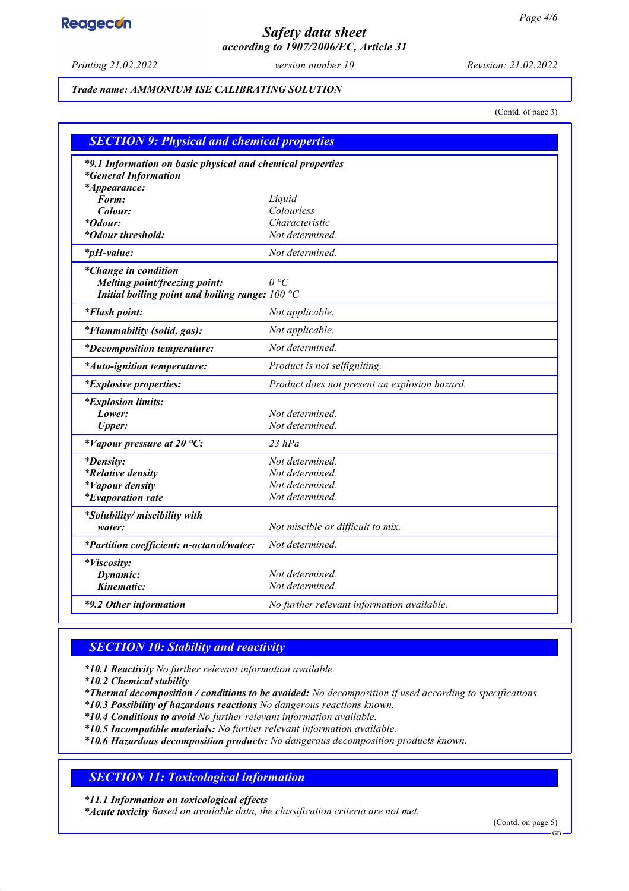# **Reagecon**

# *Safety data sheet according to 1907/2006/EC, Article 31*

*Printing 21.02.2022 version number 10 Revision: 21.02.2022*

### *Trade name: AMMONIUM ISE CALIBRATING SOLUTION*

(Contd. of page 3)

| <b>SECTION 9: Physical and chemical properties</b>                                                               |                                               |  |
|------------------------------------------------------------------------------------------------------------------|-----------------------------------------------|--|
| *9.1 Information on basic physical and chemical properties<br><i>*General Information</i><br><i>*Appearance:</i> |                                               |  |
| Form:                                                                                                            | Liquid                                        |  |
| Colour:                                                                                                          | Colourless                                    |  |
| *Odour:                                                                                                          | Characteristic                                |  |
| *Odour threshold:                                                                                                | Not determined.                               |  |
| <i>*pH-value:</i>                                                                                                | Not determined.                               |  |
| *Change in condition<br>Melting point/freezing point:<br>Initial boiling point and boiling range: $100 °C$       | $\theta$ °C                                   |  |
| <i>*Flash point:</i>                                                                                             | Not applicable.                               |  |
| *Flammability (solid, gas):                                                                                      | Not applicable.                               |  |
| <i>*Decomposition temperature:</i>                                                                               | Not determined.                               |  |
| *Auto-ignition temperature:                                                                                      | Product is not selfigniting.                  |  |
| <i>*Explosive properties:</i>                                                                                    | Product does not present an explosion hazard. |  |
| <i>*Explosion limits:</i>                                                                                        |                                               |  |
| Lower:                                                                                                           | Not determined.                               |  |
| <b>Upper:</b>                                                                                                    | Not determined.                               |  |
| *Vapour pressure at 20 $^{\circ}C$ :                                                                             | $23$ hPa                                      |  |
| <i>*Density:</i>                                                                                                 | Not determined.                               |  |
| <i>*Relative density</i>                                                                                         | Not determined.                               |  |
| <i>*Vapour density</i>                                                                                           | Not determined.                               |  |
| <i>*Evaporation rate</i>                                                                                         | Not determined.                               |  |
| *Solubility/ miscibility with                                                                                    |                                               |  |
| water:                                                                                                           | Not miscible or difficult to mix.             |  |
| *Partition coefficient: n-octanol/water:                                                                         | Not determined.                               |  |
| <i>*Viscosity:</i>                                                                                               |                                               |  |
| Dynamic:                                                                                                         | Not determined.                               |  |
| Kinematic:                                                                                                       | Not determined.                               |  |
| *9.2 Other information                                                                                           | No further relevant information available.    |  |

## *SECTION 10: Stability and reactivity*

*\* 10.1 Reactivity No further relevant information available.*

*\* 10.2 Chemical stability*

*\* Thermal decomposition / conditions to be avoided: No decomposition if used according to specifications.*

*\* 10.3 Possibility of hazardous reactions No dangerous reactions known.*

*\* 10.4 Conditions to avoid No further relevant information available.*

*\* 10.5 Incompatible materials: No further relevant information available.*

*\* 10.6 Hazardous decomposition products: No dangerous decomposition products known.*

# *SECTION 11: Toxicological information*

*\* 11.1 Information on toxicological effects*

*\* Acute toxicity Based on available data, the classification criteria are not met.*

(Contd. on page 5)

GB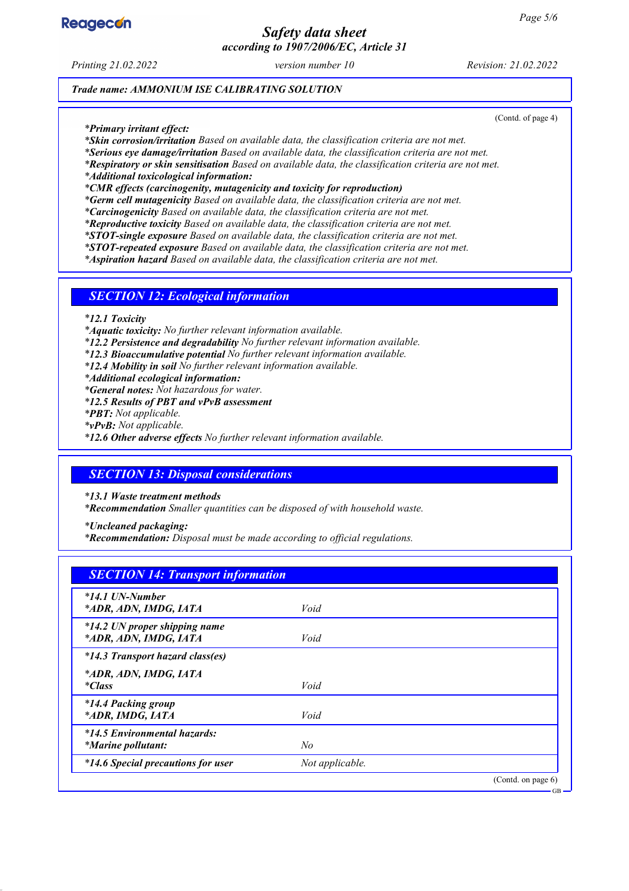

# *Safety data sheet according to 1907/2006/EC, Article 31*

*Printing 21.02.2022 version number 10 Revision: 21.02.2022*

(Contd. of page 4)

GB

*Trade name: AMMONIUM ISE CALIBRATING SOLUTION*

*\* Primary irritant effect:*

*\* Skin corrosion/irritation Based on available data, the classification criteria are not met.*

*\* Serious eye damage/irritation Based on available data, the classification criteria are not met.*

*\* Respiratory or skin sensitisation Based on available data, the classification criteria are not met.*

*\* Additional toxicological information:*

*\* CMR effects (carcinogenity, mutagenicity and toxicity for reproduction)*

*\* Germ cell mutagenicity Based on available data, the classification criteria are not met.*

*\* Carcinogenicity Based on available data, the classification criteria are not met.*

*\* Reproductive toxicity Based on available data, the classification criteria are not met.*

*\* STOT-single exposure Based on available data, the classification criteria are not met.*

*\* STOT-repeated exposure Based on available data, the classification criteria are not met.*

*\* Aspiration hazard Based on available data, the classification criteria are not met.*

### *SECTION 12: Ecological information*

*\* 12.1 Toxicity*

*\* Aquatic toxicity: No further relevant information available.*

*\* 12.2 Persistence and degradability No further relevant information available.*

*\* 12.3 Bioaccumulative potential No further relevant information available.*

*\* 12.4 Mobility in soil No further relevant information available.*

*\* Additional ecological information:*

*\* General notes: Not hazardous for water.*

*\* 12.5 Results of PBT and vPvB assessment*

*\* PBT: Not applicable.*

*\* vPvB: Not applicable.*

*\* 12.6 Other adverse effects No further relevant information available.*

## *SECTION 13: Disposal considerations*

*\* 13.1 Waste treatment methods*

*\* Recommendation Smaller quantities can be disposed of with household waste.*

*\* Uncleaned packaging:*

*\* Recommendation: Disposal must be made according to official regulations.*

| <b>SECTION 14: Transport information</b>                  |                 |                    |
|-----------------------------------------------------------|-----------------|--------------------|
| $*14.1$ UN-Number<br>*ADR, ADN, IMDG, IATA                | Void            |                    |
| *14.2 UN proper shipping name<br>*ADR, ADN, IMDG, IATA    | Void            |                    |
| *14.3 Transport hazard class(es)                          |                 |                    |
| *ADR, ADN, IMDG, IATA<br><i>*Class</i>                    | Void            |                    |
| *14.4 Packing group<br>*ADR, IMDG, IATA                   | Void            |                    |
| *14.5 Environmental hazards:<br><i>*Marine pollutant:</i> | No              |                    |
| *14.6 Special precautions for user                        | Not applicable. |                    |
|                                                           |                 | (Contd. on page 6) |